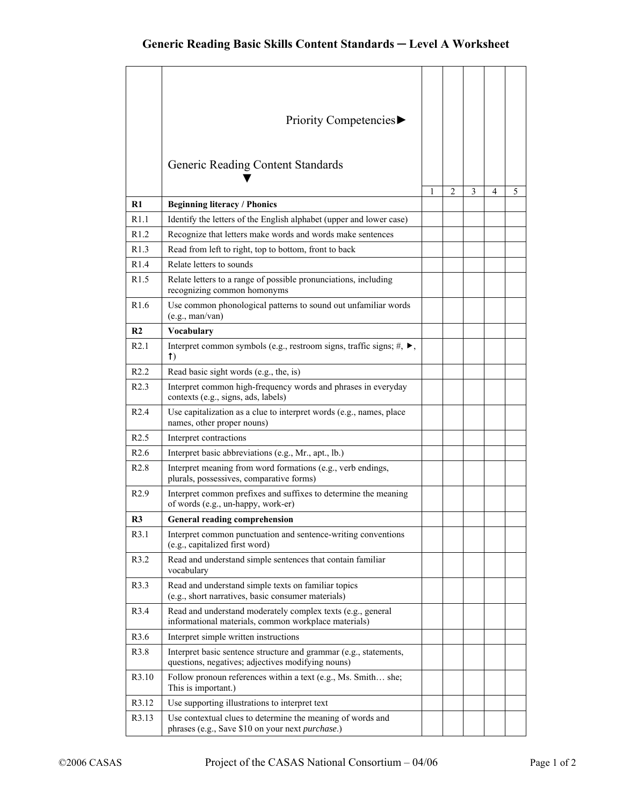## **Generic Reading Basic Skills Content Standards ─ Level A Worksheet**

|                  | Priority Competencies▶                                                                                                 |                |   |   |   |
|------------------|------------------------------------------------------------------------------------------------------------------------|----------------|---|---|---|
|                  | Generic Reading Content Standards                                                                                      | $\mathfrak{D}$ | 3 | 4 | 5 |
| R1               | <b>Beginning literacy / Phonics</b>                                                                                    |                |   |   |   |
| R1.1             | Identify the letters of the English alphabet (upper and lower case)                                                    |                |   |   |   |
| R1.2             | Recognize that letters make words and words make sentences                                                             |                |   |   |   |
| R1.3             | Read from left to right, top to bottom, front to back                                                                  |                |   |   |   |
| R1.4             | Relate letters to sounds                                                                                               |                |   |   |   |
| R <sub>1.5</sub> | Relate letters to a range of possible pronunciations, including<br>recognizing common homonyms                         |                |   |   |   |
| R <sub>1.6</sub> | Use common phonological patterns to sound out unfamiliar words<br>(e.g., man/van)                                      |                |   |   |   |
| R <sub>2</sub>   | Vocabulary                                                                                                             |                |   |   |   |
| R2.1             | Interpret common symbols (e.g., restroom signs, traffic signs; $#$ , $\blacktriangleright$ ,<br>$\uparrow$             |                |   |   |   |
| R2.2             | Read basic sight words (e.g., the, is)                                                                                 |                |   |   |   |
| R2.3             | Interpret common high-frequency words and phrases in everyday<br>contexts (e.g., signs, ads, labels)                   |                |   |   |   |
| R2.4             | Use capitalization as a clue to interpret words (e.g., names, place<br>names, other proper nouns)                      |                |   |   |   |
| R2.5             | Interpret contractions                                                                                                 |                |   |   |   |
| R2.6             | Interpret basic abbreviations (e.g., Mr., apt., lb.)                                                                   |                |   |   |   |
| R2.8             | Interpret meaning from word formations (e.g., verb endings,<br>plurals, possessives, comparative forms)                |                |   |   |   |
| R2.9             | Interpret common prefixes and suffixes to determine the meaning<br>of words (e.g., un-happy, work-er)                  |                |   |   |   |
| R3               | <b>General reading comprehension</b>                                                                                   |                |   |   |   |
| R3.1             | Interpret common punctuation and sentence-writing conventions<br>(e.g., capitalized first word)                        |                |   |   |   |
| R3.2             | Read and understand simple sentences that contain familiar<br>vocabulary                                               |                |   |   |   |
| R3.3             | Read and understand simple texts on familiar topics<br>(e.g., short narratives, basic consumer materials)              |                |   |   |   |
| R3.4             | Read and understand moderately complex texts (e.g., general<br>informational materials, common workplace materials)    |                |   |   |   |
| R3.6             | Interpret simple written instructions                                                                                  |                |   |   |   |
| R3.8             | Interpret basic sentence structure and grammar (e.g., statements,<br>questions, negatives; adjectives modifying nouns) |                |   |   |   |
| R3.10            | Follow pronoun references within a text (e.g., Ms. Smith she;<br>This is important.)                                   |                |   |   |   |
| R3.12            | Use supporting illustrations to interpret text                                                                         |                |   |   |   |
| R3.13            | Use contextual clues to determine the meaning of words and<br>phrases (e.g., Save \$10 on your next purchase.)         |                |   |   |   |